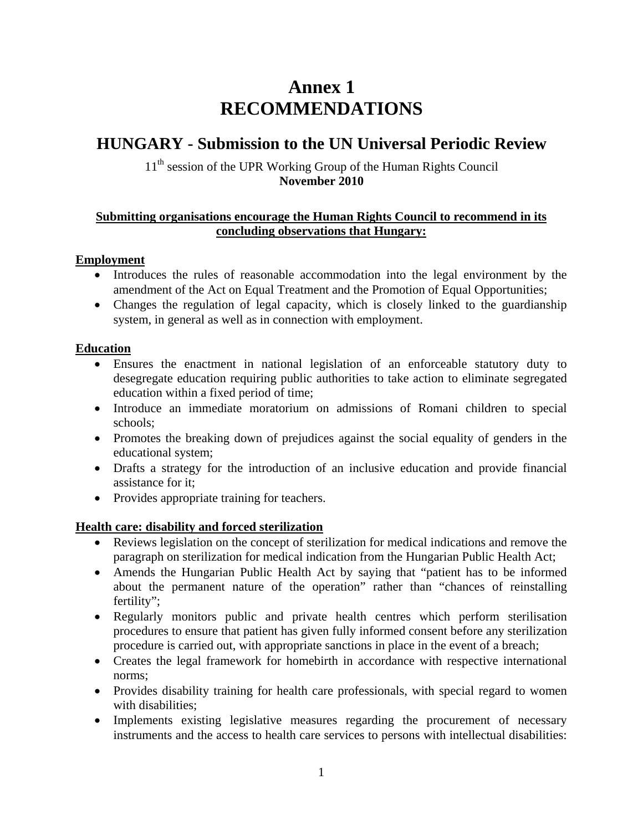# **Annex 1 RECOMMENDATIONS**

## **HUNGARY - Submission to the UN Universal Periodic Review**

## 11<sup>th</sup> session of the UPR Working Group of the Human Rights Council **November 2010**

## **Submitting organisations encourage the Human Rights Council to recommend in its concluding observations that Hungary:**

## **Employment**

- Introduces the rules of reasonable accommodation into the legal environment by the amendment of the Act on Equal Treatment and the Promotion of Equal Opportunities;
- Changes the regulation of legal capacity, which is closely linked to the guardianship system, in general as well as in connection with employment.

#### **Education**

- Ensures the enactment in national legislation of an enforceable statutory duty to desegregate education requiring public authorities to take action to eliminate segregated education within a fixed period of time;
- Introduce an immediate moratorium on admissions of Romani children to special schools;
- Promotes the breaking down of prejudices against the social equality of genders in the educational system;
- Drafts a strategy for the introduction of an inclusive education and provide financial assistance for it;
- Provides appropriate training for teachers.

## **Health care: disability and forced sterilization**

- Reviews legislation on the concept of sterilization for medical indications and remove the paragraph on sterilization for medical indication from the Hungarian Public Health Act;
- Amends the Hungarian Public Health Act by saying that "patient has to be informed about the permanent nature of the operation" rather than "chances of reinstalling fertility";
- Regularly monitors public and private health centres which perform sterilisation procedures to ensure that patient has given fully informed consent before any sterilization procedure is carried out, with appropriate sanctions in place in the event of a breach;
- Creates the legal framework for homebirth in accordance with respective international norms;
- Provides disability training for health care professionals, with special regard to women with disabilities;
- Implements existing legislative measures regarding the procurement of necessary instruments and the access to health care services to persons with intellectual disabilities: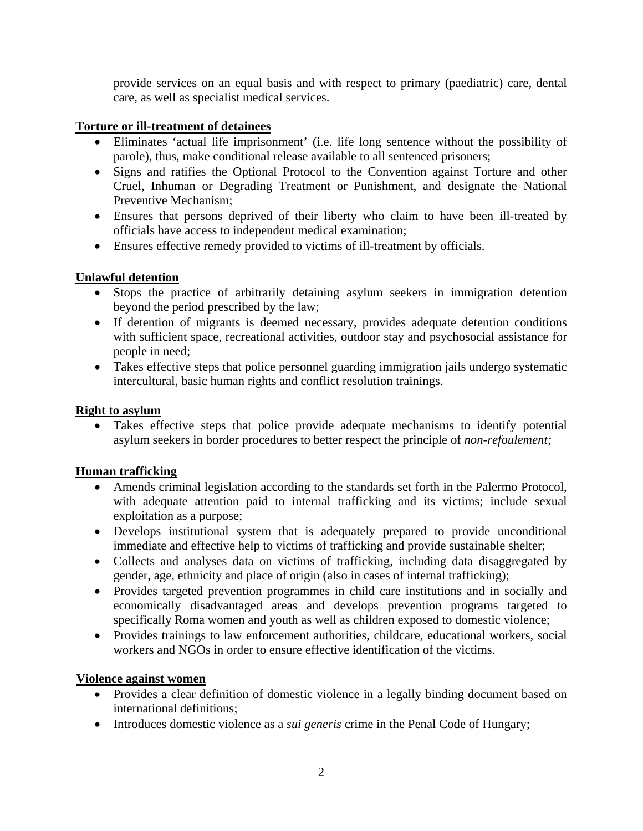provide services on an equal basis and with respect to primary (paediatric) care, dental care, as well as specialist medical services.

## **Torture or ill-treatment of detainees**

- Eliminates 'actual life imprisonment' (i.e. life long sentence without the possibility of parole), thus, make conditional release available to all sentenced prisoners;
- Signs and ratifies the Optional Protocol to the Convention against Torture and other Cruel, Inhuman or Degrading Treatment or Punishment, and designate the National Preventive Mechanism;
- Ensures that persons deprived of their liberty who claim to have been ill-treated by officials have access to independent medical examination;
- Ensures effective remedy provided to victims of ill-treatment by officials.

## **Unlawful detention**

- Stops the practice of arbitrarily detaining asylum seekers in immigration detention beyond the period prescribed by the law;
- If detention of migrants is deemed necessary, provides adequate detention conditions with sufficient space, recreational activities, outdoor stay and psychosocial assistance for people in need;
- Takes effective steps that police personnel guarding immigration jails undergo systematic intercultural, basic human rights and conflict resolution trainings.

#### **Right to asylum**

• Takes effective steps that police provide adequate mechanisms to identify potential asylum seekers in border procedures to better respect the principle of *non-refoulement;*

## **Human trafficking**

- Amends criminal legislation according to the standards set forth in the Palermo Protocol, with adequate attention paid to internal trafficking and its victims; include sexual exploitation as a purpose;
- Develops institutional system that is adequately prepared to provide unconditional immediate and effective help to victims of trafficking and provide sustainable shelter;
- Collects and analyses data on victims of trafficking, including data disaggregated by gender, age, ethnicity and place of origin (also in cases of internal trafficking);
- Provides targeted prevention programmes in child care institutions and in socially and economically disadvantaged areas and develops prevention programs targeted to specifically Roma women and youth as well as children exposed to domestic violence;
- Provides trainings to law enforcement authorities, childcare, educational workers, social workers and NGOs in order to ensure effective identification of the victims.

#### **Violence against women**

- Provides a clear definition of domestic violence in a legally binding document based on international definitions;
- Introduces domestic violence as a *sui generis* crime in the Penal Code of Hungary;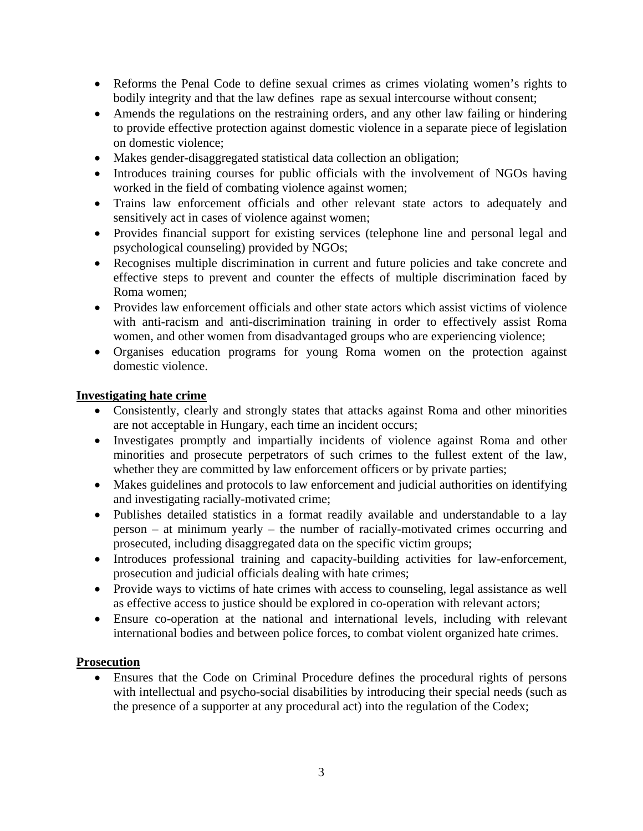- Reforms the Penal Code to define sexual crimes as crimes violating women's rights to bodily integrity and that the law defines rape as sexual intercourse without consent;
- Amends the regulations on the restraining orders, and any other law failing or hindering to provide effective protection against domestic violence in a separate piece of legislation on domestic violence;
- Makes gender-disaggregated statistical data collection an obligation;
- Introduces training courses for public officials with the involvement of NGOs having worked in the field of combating violence against women;
- Trains law enforcement officials and other relevant state actors to adequately and sensitively act in cases of violence against women;
- Provides financial support for existing services (telephone line and personal legal and psychological counseling) provided by NGOs;
- Recognises multiple discrimination in current and future policies and take concrete and effective steps to prevent and counter the effects of multiple discrimination faced by Roma women;
- Provides law enforcement officials and other state actors which assist victims of violence with anti-racism and anti-discrimination training in order to effectively assist Roma women, and other women from disadvantaged groups who are experiencing violence;
- Organises education programs for young Roma women on the protection against domestic violence.

#### **Investigating hate crime**

- Consistently, clearly and strongly states that attacks against Roma and other minorities are not acceptable in Hungary, each time an incident occurs;
- Investigates promptly and impartially incidents of violence against Roma and other minorities and prosecute perpetrators of such crimes to the fullest extent of the law, whether they are committed by law enforcement officers or by private parties;
- Makes guidelines and protocols to law enforcement and judicial authorities on identifying and investigating racially-motivated crime;
- Publishes detailed statistics in a format readily available and understandable to a lay person – at minimum yearly – the number of racially-motivated crimes occurring and prosecuted, including disaggregated data on the specific victim groups;
- Introduces professional training and capacity-building activities for law-enforcement, prosecution and judicial officials dealing with hate crimes;
- Provide ways to victims of hate crimes with access to counseling, legal assistance as well as effective access to justice should be explored in co-operation with relevant actors;
- Ensure co-operation at the national and international levels, including with relevant international bodies and between police forces, to combat violent organized hate crimes.

#### **Prosecution**

• Ensures that the Code on Criminal Procedure defines the procedural rights of persons with intellectual and psycho-social disabilities by introducing their special needs (such as the presence of a supporter at any procedural act) into the regulation of the Codex;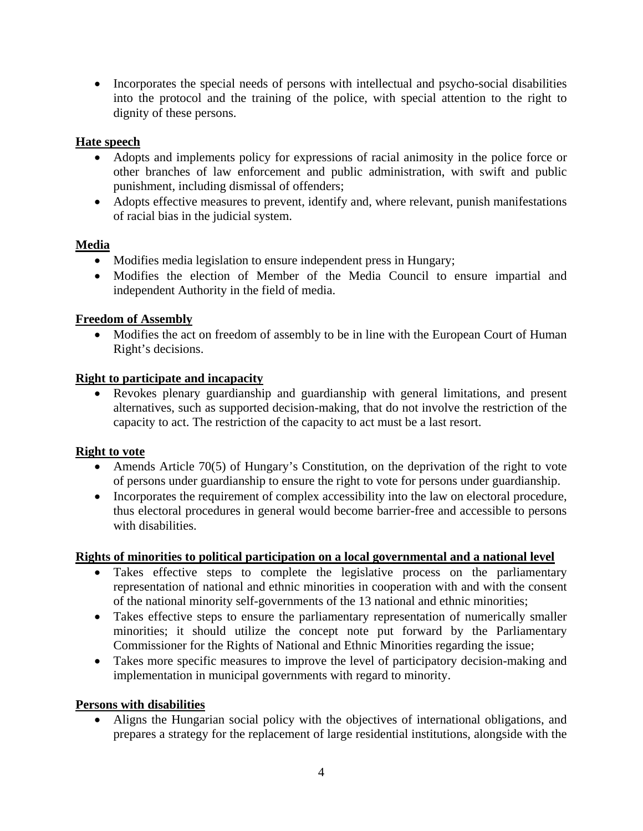• Incorporates the special needs of persons with intellectual and psycho-social disabilities into the protocol and the training of the police, with special attention to the right to dignity of these persons.

## **Hate speech**

- Adopts and implements policy for expressions of racial animosity in the police force or other branches of law enforcement and public administration, with swift and public punishment, including dismissal of offenders;
- Adopts effective measures to prevent, identify and, where relevant, punish manifestations of racial bias in the judicial system.

## **Media**

- Modifies media legislation to ensure independent press in Hungary;
- Modifies the election of Member of the Media Council to ensure impartial and independent Authority in the field of media.

## **Freedom of Assembly**

• Modifies the act on freedom of assembly to be in line with the European Court of Human Right's decisions.

## **Right to participate and incapacity**

• Revokes plenary guardianship and guardianship with general limitations, and present alternatives, such as supported decision-making, that do not involve the restriction of the capacity to act. The restriction of the capacity to act must be a last resort.

## **Right to vote**

- Amends Article 70(5) of Hungary's Constitution, on the deprivation of the right to vote of persons under guardianship to ensure the right to vote for persons under guardianship.
- Incorporates the requirement of complex accessibility into the law on electoral procedure, thus electoral procedures in general would become barrier-free and accessible to persons with disabilities.

## **Rights of minorities to political participation on a local governmental and a national level**

- Takes effective steps to complete the legislative process on the parliamentary representation of national and ethnic minorities in cooperation with and with the consent of the national minority self-governments of the 13 national and ethnic minorities;
- Takes effective steps to ensure the parliamentary representation of numerically smaller minorities; it should utilize the concept note put forward by the Parliamentary Commissioner for the Rights of National and Ethnic Minorities regarding the issue;
- Takes more specific measures to improve the level of participatory decision-making and implementation in municipal governments with regard to minority.

## **Persons with disabilities**

• Aligns the Hungarian social policy with the objectives of international obligations, and prepares a strategy for the replacement of large residential institutions, alongside with the